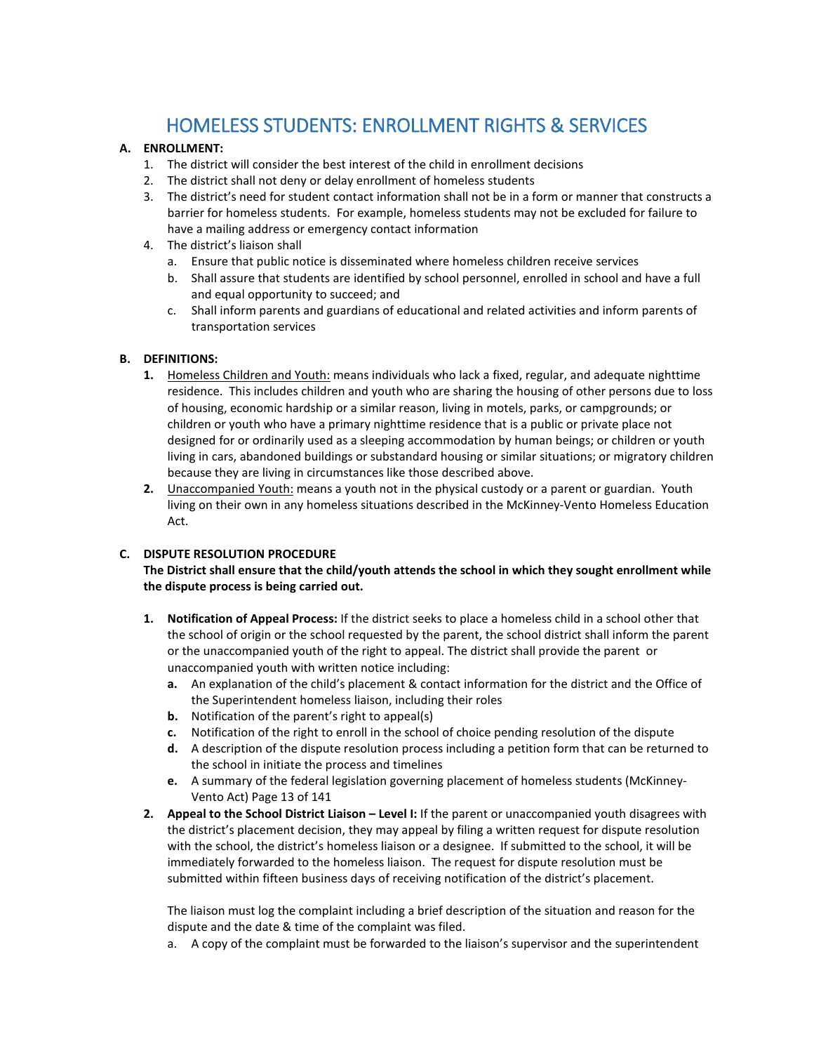# HOMELESS STUDENTS: ENROLLMENT RIGHTS & SERVICES

### **A. ENROLLMENT:**

- 1. The district will consider the best interest of the child in enrollment decisions
- 2. The district shall not deny or delay enrollment of homeless students
- 3. The district's need for student contact information shall not be in a form or manner that constructs a barrier for homeless students. For example, homeless students may not be excluded for failure to have a mailing address or emergency contact information
- 4. The district's liaison shall
	- a. Ensure that public notice is disseminated where homeless children receive services
	- b. Shall assure that students are identified by school personnel, enrolled in school and have a full and equal opportunity to succeed; and
	- c. Shall inform parents and guardians of educational and related activities and inform parents of transportation services

## **B. DEFINITIONS:**

- **1.** Homeless Children and Youth: means individuals who lack a fixed, regular, and adequate nighttime residence. This includes children and youth who are sharing the housing of other persons due to loss of housing, economic hardship or a similar reason, living in motels, parks, or campgrounds; or children or youth who have a primary nighttime residence that is a public or private place not designed for or ordinarily used as a sleeping accommodation by human beings; or children or youth living in cars, abandoned buildings or substandard housing or similar situations; or migratory children because they are living in circumstances like those described above.
- **2.** Unaccompanied Youth: means a youth not in the physical custody or a parent or guardian. Youth living on their own in any homeless situations described in the McKinney-Vento Homeless Education Act.

#### **C. DISPUTE RESOLUTION PROCEDURE**

## **The District shall ensure that the child/youth attends the school in which they sought enrollment while the dispute process is being carried out.**

- **1. Notification of Appeal Process:** If the district seeks to place a homeless child in a school other that the school of origin or the school requested by the parent, the school district shall inform the parent or the unaccompanied youth of the right to appeal. The district shall provide the parent or unaccompanied youth with written notice including:
	- **a.** An explanation of the child's placement & contact information for the district and the Office of the Superintendent homeless liaison, including their roles
	- **b.** Notification of the parent's right to appeal(s)
	- **c.** Notification of the right to enroll in the school of choice pending resolution of the dispute
	- **d.** A description of the dispute resolution process including a petition form that can be returned to the school in initiate the process and timelines
	- **e.** A summary of the federal legislation governing placement of homeless students (McKinney-Vento Act) Page 13 of 141
- **2. Appeal to the School District Liaison – Level I:** If the parent or unaccompanied youth disagrees with the district's placement decision, they may appeal by filing a written request for dispute resolution with the school, the district's homeless liaison or a designee. If submitted to the school, it will be immediately forwarded to the homeless liaison. The request for dispute resolution must be submitted within fifteen business days of receiving notification of the district's placement.

The liaison must log the complaint including a brief description of the situation and reason for the dispute and the date & time of the complaint was filed.

a. A copy of the complaint must be forwarded to the liaison's supervisor and the superintendent